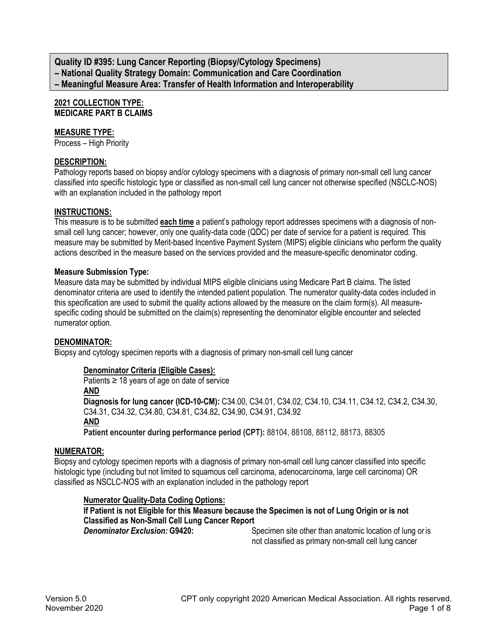**Quality ID #395: Lung Cancer Reporting (Biopsy/Cytology Specimens) – National Quality Strategy Domain: Communication and Care Coordination – Meaningful Measure Area: Transfer of Health Information and Interoperability**

# **2021 COLLECTION TYPE: MEDICARE PART B CLAIMS**

# **MEASURE TYPE:**

Process – High Priority

# **DESCRIPTION:**

Pathology reports based on biopsy and/or cytology specimens with a diagnosis of primary non-small cell lung cancer classified into specific histologic type or classified as non-small cell lung cancer not otherwise specified (NSCLC-NOS) with an explanation included in the pathology report

# **INSTRUCTIONS:**

This measure is to be submitted **each time** a patient's pathology report addresses specimens with a diagnosis of nonsmall cell lung cancer; however, only one quality-data code (QDC) per date of service for a patient is required. This measure may be submitted by Merit-based Incentive Payment System (MIPS) eligible clinicians who perform the quality actions described in the measure based on the services provided and the measure-specific denominator coding.

# **Measure Submission Type:**

Measure data may be submitted by individual MIPS eligible clinicians using Medicare Part B claims. The listed denominator criteria are used to identify the intended patient population. The numerator quality-data codes included in this specification are used to submit the quality actions allowed by the measure on the claim form(s). All measurespecific coding should be submitted on the claim(s) representing the denominator eligible encounter and selected numerator option.

# **DENOMINATOR:**

Biopsy and cytology specimen reports with a diagnosis of primary non-small cell lung cancer

# **Denominator Criteria (Eligible Cases):**

Patients ≥ 18 years of age on date of service

#### **AND**

**Diagnosis for lung cancer (ICD-10-CM):** C34.00, C34.01, C34.02, C34.10, C34.11, C34.12, C34.2, C34.30, C34.31, C34.32, C34.80, C34.81, C34.82, C34.90, C34.91, C34.92

# **AND**

**Patient encounter during performance period (CPT):** 88104, 88108, 88112, 88173, 88305

# **NUMERATOR:**

Biopsy and cytology specimen reports with a diagnosis of primary non-small cell lung cancer classified into specific histologic type (including but not limited to squamous cell carcinoma, adenocarcinoma, large cell carcinoma) OR classified as NSCLC-NOS with an explanation included in the pathology report

# **Numerator Quality-Data Coding Options:**

# **If Patient is not Eligible for this Measure because the Specimen is not of Lung Origin or is not Classified as Non-Small Cell Lung Cancer Report**

**Specimen site other than anatomic location of lung or is.** not classified as primary non-small cell lung cancer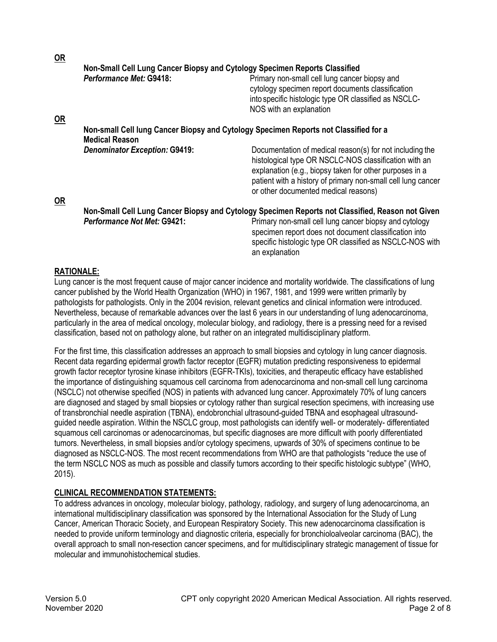| <u>UK</u> |                                                                                      |                                                                                                                                                                                                                                                                                      |  |
|-----------|--------------------------------------------------------------------------------------|--------------------------------------------------------------------------------------------------------------------------------------------------------------------------------------------------------------------------------------------------------------------------------------|--|
|           | Non-Small Cell Lung Cancer Biopsy and Cytology Specimen Reports Classified           |                                                                                                                                                                                                                                                                                      |  |
| <u>OR</u> | Performance Met: G9418:                                                              | Primary non-small cell lung cancer biopsy and<br>cytology specimen report documents classification<br>into specific histologic type OR classified as NSCLC-<br>NOS with an explanation                                                                                               |  |
|           | Non-small Cell lung Cancer Biopsy and Cytology Specimen Reports not Classified for a |                                                                                                                                                                                                                                                                                      |  |
|           | <b>Medical Reason</b>                                                                |                                                                                                                                                                                                                                                                                      |  |
| <u>OR</u> | <b>Denominator Exception: G9419:</b>                                                 | Documentation of medical reason(s) for not including the<br>histological type OR NSCLC-NOS classification with an<br>explanation (e.g., biopsy taken for other purposes in a<br>patient with a history of primary non-small cell lung cancer<br>or other documented medical reasons) |  |
|           |                                                                                      | Non-Small Cell Lung Cancer Biopsy and Cytology Specimen Reports not Classified, Reason not Given                                                                                                                                                                                     |  |
|           | <b>Performance Not Met: G9421:</b>                                                   | Primary non-small cell lung cancer biopsy and cytology<br>specimen report does not document classification into<br>specific histologic type OR classified as NSCLC-NOS with<br>an explanation                                                                                        |  |

# **RATIONALE:**

**OR**

Lung cancer is the most frequent cause of major cancer incidence and mortality worldwide. The classifications of lung cancer published by the World Health Organization (WHO) in 1967, 1981, and 1999 were written primarily by pathologists for pathologists. Only in the 2004 revision, relevant genetics and clinical information were introduced. Nevertheless, because of remarkable advances over the last 6 years in our understanding of lung adenocarcinoma, particularly in the area of medical oncology, molecular biology, and radiology, there is a pressing need for a revised classification, based not on pathology alone, but rather on an integrated multidisciplinary platform.

For the first time, this classification addresses an approach to small biopsies and cytology in lung cancer diagnosis. Recent data regarding epidermal growth factor receptor (EGFR) mutation predicting responsiveness to epidermal growth factor receptor tyrosine kinase inhibitors (EGFR-TKIs), toxicities, and therapeutic efficacy have established the importance of distinguishing squamous cell carcinoma from adenocarcinoma and non-small cell lung carcinoma (NSCLC) not otherwise specified (NOS) in patients with advanced lung cancer. Approximately 70% of lung cancers are diagnosed and staged by small biopsies or cytology rather than surgical resection specimens, with increasing use of transbronchial needle aspiration (TBNA), endobronchial ultrasound-guided TBNA and esophageal ultrasoundguided needle aspiration. Within the NSCLC group, most pathologists can identify well- or moderately- differentiated squamous cell carcinomas or adenocarcinomas, but specific diagnoses are more difficult with poorly differentiated tumors. Nevertheless, in small biopsies and/or cytology specimens, upwards of 30% of specimens continue to be diagnosed as NSCLC-NOS. The most recent recommendations from WHO are that pathologists "reduce the use of the term NSCLC NOS as much as possible and classify tumors according to their specific histologic subtype" (WHO, 2015).

# **CLINICAL RECOMMENDATION STATEMENTS:**

To address advances in oncology, molecular biology, pathology, radiology, and surgery of lung adenocarcinoma, an international multidisciplinary classification was sponsored by the International Association for the Study of Lung Cancer, American Thoracic Society, and European Respiratory Society. This new adenocarcinoma classification is needed to provide uniform terminology and diagnostic criteria, especially for bronchioloalveolar carcinoma (BAC), the overall approach to small non-resection cancer specimens, and for multidisciplinary strategic management of tissue for molecular and immunohistochemical studies.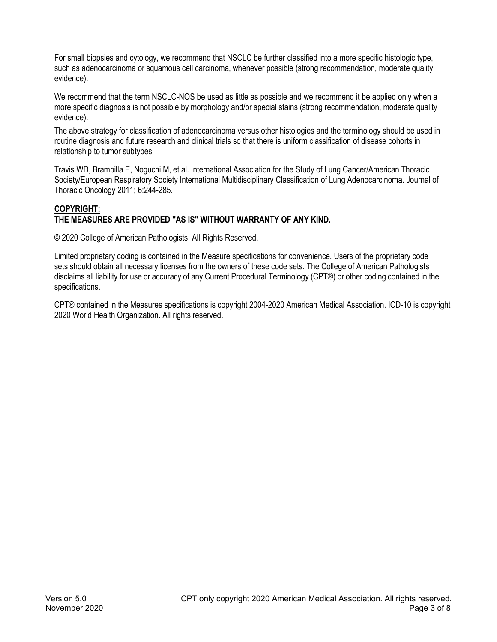For small biopsies and cytology, we recommend that NSCLC be further classified into a more specific histologic type, such as adenocarcinoma or squamous cell carcinoma, whenever possible (strong recommendation, moderate quality evidence).

We recommend that the term NSCLC-NOS be used as little as possible and we recommend it be applied only when a more specific diagnosis is not possible by morphology and/or special stains (strong recommendation, moderate quality evidence).

The above strategy for classification of adenocarcinoma versus other histologies and the terminology should be used in routine diagnosis and future research and clinical trials so that there is uniform classification of disease cohorts in relationship to tumor subtypes.

Travis WD, Brambilla E, Noguchi M, et al. International Association for the Study of Lung Cancer/American Thoracic Society/European Respiratory Society International Multidisciplinary Classification of Lung Adenocarcinoma. Journal of Thoracic Oncology 2011; 6:244-285.

# **COPYRIGHT: THE MEASURES ARE PROVIDED "AS IS" WITHOUT WARRANTY OF ANY KIND.**

© 2020 College of American Pathologists. All Rights Reserved.

Limited proprietary coding is contained in the Measure specifications for convenience. Users of the proprietary code sets should obtain all necessary licenses from the owners of these code sets. The College of American Pathologists disclaims all liability for use or accuracy of any Current Procedural Terminology (CPT®) or other coding contained in the specifications.

CPT® contained in the Measures specifications is copyright 2004-2020 American Medical Association. ICD-10 is copyright 2020 World Health Organization. All rights reserved.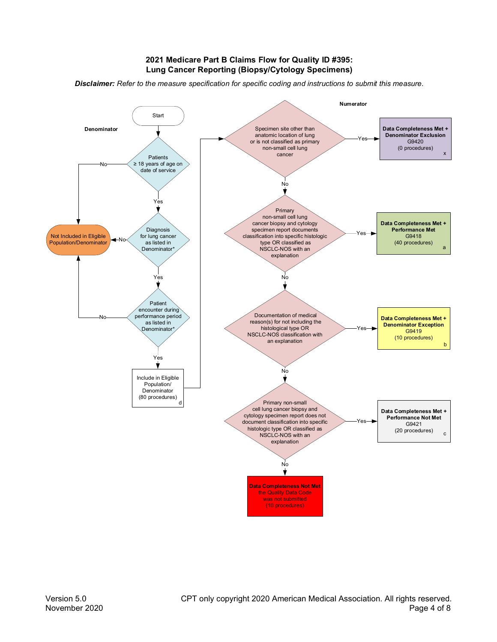# **2021 Medicare Part B Claims Flow for Quality ID #395: Lung Cancer Reporting (Biopsy/Cytology Specimens)**

*Disclaimer: Refer to the measure specification for specific coding and instructions to submit this measure.*

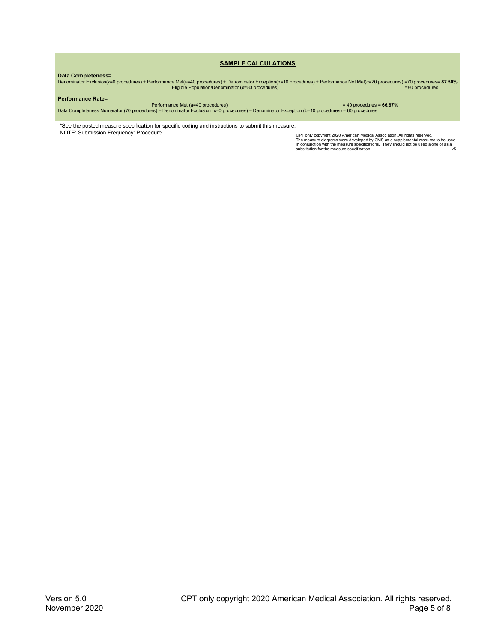#### **SAMPLE CALCULATIONS**

D**ata Completeness=**<br><u>170 Denominator Exclusion(x=0 procedures) + Performance Met(a=40 procedures) + Denominator Exception(b=10 procedures) + Performance Not Met(c=20 procedures) =7<u>0 procedures</u>= **87.50%**<br>Eligible Populat</u>

#### **Performance Rate=**

Performance Met (a=40 procedures) = 40 procedures = **66.67%** Data Completeness Numerator (70 procedures) – Denominator Exclusion (x=0 procedures) – Denominator Exception (b=10 procedures) = 60 procedures

\*See the posted measure specification for specific coding and instructions to submit this measure. NOTE: Submission Frequency: Procedure

CPT only copyright 2020 American Medical Association. All rights reserved.<br>The measure diagrams were developed by CMS as a supplemental resource to be used<br>in conjunction with the measure specifications. They should not b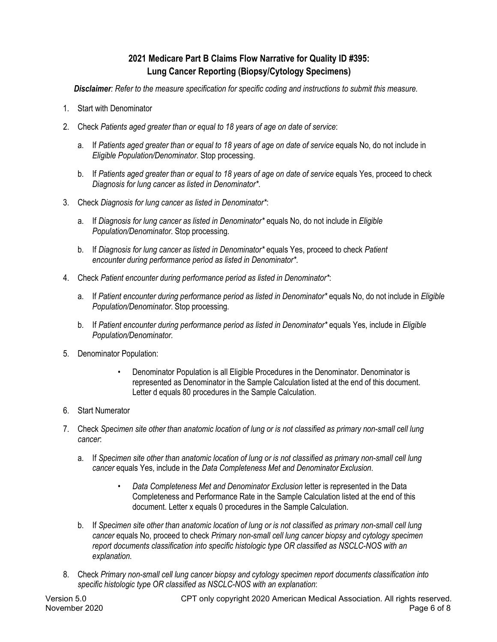# **2021 Medicare Part B Claims Flow Narrative for Quality ID #395: Lung Cancer Reporting (Biopsy/Cytology Specimens)**

*Disclaimer: Refer to the measure specification for specific coding and instructions to submit this measure.*

- 1. Start with Denominator
- 2. Check *Patients aged greater than or equal to 18 years of age on date of service*:
	- a. If *Patients aged greater than or equal to 18 years of age on date of service* equals No, do not include in *Eligible Population/Denominator*. Stop processing.
	- b. If *Patients aged greater than or equal to 18 years of age on date of service* equals Yes, proceed to check *Diagnosis for lung cancer as listed in Denominator\**.
- 3. Check *Diagnosis for lung cancer as listed in Denominator\**:
	- a. If *Diagnosis for lung cancer as listed in Denominator\** equals No, do not include in *Eligible Population/Denominator*. Stop processing.
	- b. If *Diagnosis for lung cancer as listed in Denominator\** equals Yes, proceed to check *Patient encounter during performance period as listed in Denominator\**.
- 4. Check *Patient encounter during performance period as listed in Denominator\**:
	- a. If *Patient encounter during performance period as listed in Denominator\** equals No, do not include in *Eligible Population/Denominator*. Stop processing.
	- b. If *Patient encounter during performance period as listed in Denominator\** equals Yes, include in *Eligible Population/Denominator*.
- 5. Denominator Population:
	- Denominator Population is all Eligible Procedures in the Denominator. Denominator is represented as Denominator in the Sample Calculation listed at the end of this document. Letter d equals 80 procedures in the Sample Calculation.
- 6. Start Numerator
- 7. Check *Specimen site other than anatomic location of lung or is not classified as primary non-small cell lung cancer*:
	- a. If *Specimen site other than anatomic location of lung or is not classified as primary non-small cell lung cancer* equals Yes, include in the *Data Completeness Met and Denominator Exclusion*.
		- *Data Completeness Met and Denominator Exclusion* letter is represented in the Data Completeness and Performance Rate in the Sample Calculation listed at the end of this document. Letter x equals 0 procedures in the Sample Calculation.
	- b. If *Specimen site other than anatomic location of lung or is not classified as primary non-small cell lung cancer* equals No, proceed to check *Primary non-small cell lung cancer biopsy and cytology specimen report documents classification into specific histologic type OR classified as NSCLC-NOS with an explanation*.
- 8. Check *Primary non-small cell lung cancer biopsy and cytology specimen report documents classification into specific histologic type OR classified as NSCLC-NOS with an explanation*: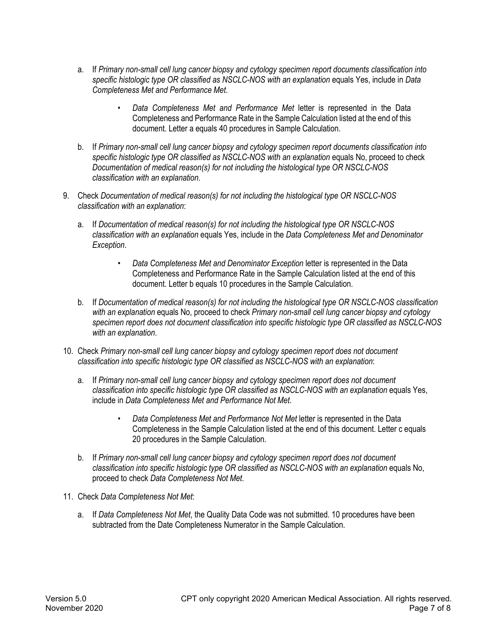- a. If *Primary non-small cell lung cancer biopsy and cytology specimen report documents classification into specific histologic type OR classified as NSCLC-NOS with an explanation* equals Yes, include in *Data Completeness Met and Performance Met*.
	- *Data Completeness Met and Performance Met* letter is represented in the Data Completeness and Performance Rate in the Sample Calculation listed at the end of this document. Letter a equals 40 procedures in Sample Calculation.
- b. If *Primary non-small cell lung cancer biopsy and cytology specimen report documents classification into specific histologic type OR classified as NSCLC-NOS with an explanation* equals No, proceed to check *Documentation of medical reason(s) for not including the histological type OR NSCLC-NOS classification with an explanation*.
- 9. Check *Documentation of medical reason(s) for not including the histological type OR NSCLC-NOS classification with an explanation*:
	- a. If *Documentation of medical reason(s) for not including the histological type OR NSCLC-NOS classification with an explanation* equals Yes, include in the *Data Completeness Met and Denominator Exception*.
		- *Data Completeness Met and Denominator Exception* letter is represented in the Data Completeness and Performance Rate in the Sample Calculation listed at the end of this document. Letter b equals 10 procedures in the Sample Calculation.
	- b. If *Documentation of medical reason(s) for not including the histological type OR NSCLC-NOS classification with an explanation* equals No, proceed to check *Primary non-small cell lung cancer biopsy and cytology specimen report does not document classification into specific histologic type OR classified as NSCLC-NOS with an explanation*.
- 10. Check *Primary non-small cell lung cancer biopsy and cytology specimen report does not document classification into specific histologic type OR classified as NSCLC-NOS with an explanation*:
	- a. If *Primary non-small cell lung cancer biopsy and cytology specimen report does not document classification into specific histologic type OR classified as NSCLC-NOS with an explanation* equals Yes, include in *Data Completeness Met and Performance Not Met*.
		- *Data Completeness Met and Performance Not Met* letter is represented in the Data Completeness in the Sample Calculation listed at the end of this document. Letter c equals 20 procedures in the Sample Calculation.
	- b. If *Primary non-small cell lung cancer biopsy and cytology specimen report does not document classification into specific histologic type OR classified as NSCLC-NOS with an explanation* equals No, proceed to check *Data Completeness Not Met*.
- 11. Check *Data Completeness Not Met*:
	- a. If *Data Completeness Not Met*, the Quality Data Code was not submitted. 10 procedures have been subtracted from the Date Completeness Numerator in the Sample Calculation.